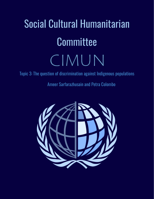# Social Cultural Humanitarian **Committee** CIMUN

Topic 3: The question of discrimination against Indigenous populations

Ameer Sarfarazhusain and Petra Colombo

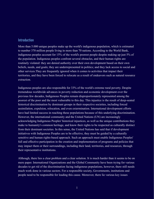#### Introduction

More than 5.000 unique peoples make up the world's indigenous population, which is estimated to number 370 million people living in more than 70 nations. According to the World Bank, indigenous peoples account for 15% of the world's poorest people despite making up just 5% of the population. Indigenous peoples confront several obstacles, and their human rights are routinely violated: they are denied authority over their own development based on their own beliefs, needs, and goals; they are underrepresented in politics; and they lack access to social and other services.They are frequently ignored when it comes to activities that impact their territories, and they have been forced to relocate as a result of endeavors such as natural resource extraction.

Indigenous peoples are also responsible for 33% of the world's extreme rural poverty. Despite tremendous worldwide advances in poverty reduction and economic development over the previous few decades, Indigenous Peoples remain disproportionately represented among the poorest of the poor and the most vulnerable to this day. This injustice is the result of deep-seated historical discrimination by dominant groups in their respective societies, including forced assimilation, expulsion, relocation, and even extermination. International development efforts have had limited success in reaching these populations because of this underlying discrimination. However, the international community and the United Nations (UN) are increasingly acknowledging Indigenous Peoples' historical injustices, as well as the unique contributions they make to humanity's common heritage, and know their rights to be respected as culturally distinct from their dominant societies. In this sense, the United Nations has said that if development initiatives with Indigenous Peoples are to be effective, they must be guided by a culturally sensitive and human rights-based approach. Such an approach must enable Indigenous Peoples' full and effective participation in the creation and implementation of programs and policies that may impact them or their surroundings, including their land, territories, and resources, through their representative institutions.

Although, there lies a clear problem and a clear solution. It is much harder than it seems to be on mere paper. International Organizations and the Global Community have been trying for various decades to get rid of the discrimination facing indigenous populations, however, there still needs much work done in various sectors. For a responsible society, Governments, institutions and people need to be responsible for leading this cause. Moreover, there lie various key issues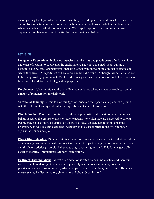encompassing this topic which need to be carefully looked upon. The world needs to ensure the end of discrimination once and for all, as such, humanities actions are what define how, what, where, and when should discrimination end. With rapid responses and slow solution based approaches implemented over time for the issues mentioned below.

# Key Terms

**Indigenous Populations:** Indigenous peoples are inheritors and practitioners of unique cultures and ways of relating to people and the environment. They have retained social, cultural, economic and political characteristics that are distinct from those of the dominant societies in which they live (UN department of Economic and Social Affairs). Although this definition is yet to be recognized by governments World-wide having various contentions on such, there needs to be a more clear definition for legislative purposes.

**Employment:** Usually refers to the act of having a paid job wherein a person receives a certain amount of remuneration for their work.

**Vocational Training:** Refers to a certain type of education that specifically prepares a person with the relevant training and skills for a specific and technical profession.

**Discrimination:** Discrimination is the act of making unjustified distinctions between human beings based on the groups, classes, or other categories to which they are perceived to belong. People may be discriminated against on the basis of race, gender, age, religion, or sexual orientation, as well as other categories. Although in this case it refers to the discrimination against Indigenous people.

**Direct Discrimination:** Direct discrimination refers to rules, policies or practices that exclude or disadvantage certain individuals because they belong to a particular group or because they have certain characteristics (example: indigenous origin, sex, religion, etc.). This form is generally easier to identify. (International Labour Organization).

**In-Direct Discrimination:** Indirect discrimination is often hidden, more subtle and therefore more difficult to identify. It occurs when apparently neutral measures (rules, policies or practices) have a disproportionately adverse impact on one particular group. Even well-intended measures may be discriminatory (International Labour Organization).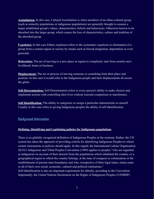**Assimilation:** In this case, Cultural Assimilation is when members of an ethno-cultural group (such as minority populations or indigenous populations) are generally thought to assume a larger established group's values, characteristics, beliefs and behaviours. Otherwise known to be absorbed into the larger group, which causes the loss of characteristics, culture and tradition of the absorbed group

**Expulsion:** In this case Ethnic expulsion refers to the systematic expulsion or elimination of a group from a certain region or society by means such as forced emigration, deportation or even genocide.

**Relocation:** The act of moving to a new place or region to completely start from scratch one's livelihood, home or business.

**Displacement:** The act or process of moving someone or something from their place and position. In this case it would refer to the Indigenous people and their displacements all across the globe.

**Self-Determination:** Self Determination refers to every person's ability to make choices and implement actions with controlling their lives without external compulsion or interference.

**Self Identification:** The ability to categorize or assign a particular characteristic to oneself. Usually in this case refers to giving Indigenous peoples the ability of self identification.

# Background Information

#### **Defining, Identifying and Legislating policies for Indigenous populations**

There is no globally recognized definition of Indigenous Peoples at the moment. Rather, the UN system has taken the approach of providing criteria for identifying Indigenous Peoples to whom certain instruments or policies should apply. In this regard, the International Labour Organization (ILO)'s Indigenous and Tribal Peoples Convention (1989) applies to peoples "who are regarded as indigenous on account of their descent from the populations which inhabited the country, or a geographical region to which the country belongs, at the time of conquest or colonization or the establishment of present state boundaries and who, irrespective of their legal status, retain some or all of their own social, economic, cultural and political institutions."

Self-identification is also an important requirement for identity, according to the Convention. Importantly, the United Nations Declaration on the Rights of Indigenous Peoples (UNDRIP)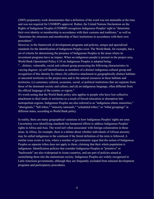(2005) preparatory work demonstrates that a definition of the word was not attainable at the time and was not required for UNDRIP's approval. Rather, the United Nations Declaration on the Rights of Indigenous Peoples (UNDRIP) recognizes Indigenous Peoples' right to "determine their own identity or membership in accordance with their customs and traditions," as well as "determine the structures and membership of their institutions in accordance with their own procedures".

However, in the framework of development programs and policies, unique and specialized standards for the identification of Indigenous Peoples exist. The World Bank, for example, has a set of criteria for determining the presence of Indigenous Peoples in the areas where its investment programs have an impact. When an indigenous people is present in the project area, World Bank Operational Policy 4.10 on Indigenous Peoples is adopted being:

"…distinct, vulnerable, social and cultural group possessing the following characteristics in varying degrees: (a) self identification as members of a distinct indigenous cultural group and recognition of this identity by others; (b) collective attachment to geographically distinct habitats or ancestral territories in the project area and to the natural resources in these habitats and territories; (c) customary cultural, economic, social, or political institutions that are separate from those of the dominant society and culture; and (d) an indigenous language, often different from the official language of the country or region."

It's worth noting that the World Bank policy also applies to people who have lost collective attachment to their lands or territories as a result of forced relocation or absorption into metropolitan regions. Indigenous Peoples are also referred to as "indigenous ethnic minorities," "aboriginals," "hill tribes," "minority nationals," "scheduled tribes," or "tribal groupings" in different states, according to World Bank policy.

In reality, there are many geographical variations in how Indigenous Peoples' rights are seen. Uncertainty over identifying standards has hampered efforts to address Indigenous Peoples' rights in Africa and Asia. The word isn't often associated with foreign colonization in these areas. In Africa, for example, there is a debate about whether individuals of African ancestry may be called indigenous to the continent if the literal definition of the term is followed. A similar issue exists in Asia, where a number of governments argue that the notion of Indigenous Peoples as separate tribes does not apply to them, claiming that their whole population is indigenous. Identification policies that consider Indigenous Peoples as "primitive" or "backwards" are also widespread in Asian countries, and are part of policies aimed at assimilating them into the mainstream society. Indigenous Peoples are widely recognized in Latin American governments, although they are frequently excluded from national development programs and participatory procedures.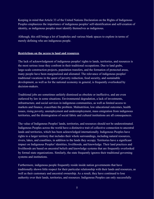Keeping in mind that Article 33 of the United Nations Declaration on the Rights of Indigenous Peoples emphasizes the importance of indigenous peoples' self-identification and self-creation of identity, as indigenous peoples must identify themselves as indigenous.

Although, this still brings a lot of loopholes and various blank spaces to explore in terms of merely defining who are indigenous people.

#### **Restrictions on the access to land and resources**

The lack of acknowledgment of indigenous peoples' rights to lands, territories, and resources is the most serious issue they confront in their traditional occupations. Due to land grabs, large-scale construction projects, population transfers, and the formation of protected areas, many people have been marginalized and alienated. The relevance of indigenous peoples' traditional vocations in the quest of poverty reduction, food security, and sustainable development, as well as for the national economy in general, is frequently overlooked by decision-makers.

Traditional jobs are sometimes unfairly dismissed as obsolete or ineffective, and are even outlawed by law in some situations. Environmental degradation, a lack of investments, infrastructure, and social services in indigenous communities, as well as limited access to markets and finance, exacerbate the problem. Malnutrition, low educational outcomes, health issues, rising poverty, unemployment and underemployment, mass emigration from indigenous territories, and the disintegration of social fabric and cultural institutions are all consequences.

The value of Indigenous Peoples' lands, territories, and resources should not be underestimated. Indigenous Peoples across the world have a distinctive trait of collective connection to ancestral lands and territories, which has been acknowledged internationally. Indigenous Peoples have rights to a larger territory that includes their whole surroundings, including natural resources, rivers, lakes, and coastlines, in addition to the lands they occupy. Territories have a significant impact on Indigenous Peoples' identities, livelihoods, and knowledge. Their land practices and livelihoods are based on ancestral beliefs and knowledge systems that are frequently overlooked by formal state organizations. Similarly, the state frequently ignores their traditional governing systems and institutions.

Furthermore, indigenous people frequently reside inside nation governments that have traditionally shown little respect for their particular relationship with their lands and resources, as well as their customary and ancestral ownership. As a result, they have continued to lose authority over their lands, territories, and resources. Indigenous Peoples can only successfully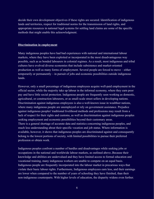decide their own development objectives if these rights are secured. Identification of indigenous lands and territories, respect for traditional norms for the transmission of land rights, and appropriate resources in national legal systems for settling land claims are some of the specific methods that might enable this acknowledgment.

#### **Discrimination in employment**

Many indigenous peoples have had bad experiences with national and international labour markets, where they have been exploited or incorporated in the most disadvantageous way possible, such as as bonded labourers in colonial regimes. As a result, most indigenous and tribal cultures have evolved diverse economies that include subsistence and market-oriented production as well as many forms of employment. Several people are forced to move – either temporarily or permanently – in pursuit of jobs and economic possibilities outside indigenous lands.

However, only a small percentage of indigenous employees acquire well-paid employment in the official sector, while the majority take up labour in the informal economy, where they earn poor pay and have little social protection. Indigenous people are frequently seen working as domestic, agricultural, or construction labourers, or as small-scale street sellers in developing nations. Discrimination against indigenous employees is also a well-known issue in wealthier nations, where many indigenous people are unemployed or rely on government assistance. Prejudice against indigenous peoples' traditional livelihood methods and professions may result from a lack of respect for their rights and customs, as well as discrimination against indigenous peoples seeking employment and economic possibilities beyond their customary areas. There is a general shortage of accurate data and statistics concerning indigenous peoples, and much less understanding about their specific vocation and job status. Where information is available, however, it shows that indigenous peoples are discriminated against and consequently belong to the lowest portions of society, with limited possibilities to pursue their preferred profession or obtain work.

Indigenous peoples confront a number of hurdles and disadvantages while seeking jobs or occupations in the national and worldwide labour markets, as outlined above..Because their knowledge and abilities are undervalued and they have limited access to formal education and vocational training, many indigenous workers are unable to compete on an equal basis. Indigenous people are frequently incorporated into the labour market in precarious ways that violate their basic labour rights. Furthermore, Indigenous employees earn less, and their earnings are lower when compared to the number of years of schooling they have finished, than their non-indigenous counterparts. With higher levels of education, the disparity widens even further.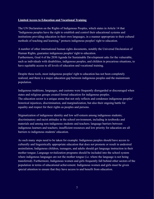#### **Limited Access to Education and Vocational Training**

The UN Declaration on the Rights of Indigenous Peoples, which states in Article 14 that "Indigenous peoples have the right to establish and control their educational systems and institutions providing education in their own languages, in a manner appropriate to their cultural methods of teaching and learning," protects indigenous peoples' right to education.

A number of other international human rights documents, notably the Universal Declaration of Human Rights, guarantee indigenous peoples' right to education. Furthermore, Goal 4 of the 2030 Agenda for Sustainable Development asks for the vulnerable, such as individuals with disabilities, indigenous peoples, and children in precarious situations, to have equitable access to all levels of education and vocational training.

Despite these tools, most indigenous peoples' right to education has not been completely realized, and there is a major education gap between indigenous peoples and the mainstream population.

Indigenous traditions, languages, and customs were frequently disregarded or discouraged when states and religious groups created formal education for indigenous peoples. The education sector is a unique arena that not only reflects and condenses indigenous peoples' historical injustices, discrimination, and marginalization, but also their ongoing battle for equality and respect for their rights as peoples and persons.

Stigmatization of indigenous identity and low self-esteem among indigenous students; discriminatory and racist attitudes in the school environment, including in textbooks and materials and among non-indigenous students and teachers; language barriers between indigenous learners and teachers; insufficient resources and low priority for education are all barriers to indigenous students' education.

As such many steps need to be taken for example: Indigenous peoples should have access to culturally and linguistically appropriate education that does not promote or result in undesired assimilation; Indigenous children, teenagers, and adults should get language instruction in their mother tongue; Language revitalization programs should be included into the school system where indigenous languages are not the mother tongue (i.e. where the language is not being transferred). Furthermore, Indigenous women and girls frequently fall behind other sectors of the population in terms of educational achievement. Indigenous women and girls must be given special attention to ensure that they have access to and benefit from education.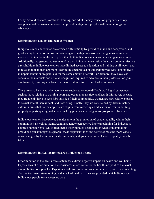Lastly, Second chances, vocational training, and adult literacy education programs are key components of inclusive education that provide indigenous peoples with several long-term advantages.

#### **Discrimination against Indigenous Women**

Indigenous men and women are affected differentially by prejudice in job and occupation, and gender may be a factor in discrimination against indigenous women. Indigenous women face more discrimination in the workplace than both indigenous males and non-indigenous women. Additionally, indigenous women may face discrimination even inside their own communities. As a result, Many indigenous women have limited access to education and training at all levels, and in relation to that, they are more likely to be unemployed or underemployed. Most are involved in unpaid labour or are paid less for the same amount of effort. Furthermore, they have less access to the materials and official recognition required to advance in their profession or gain employment, resulting in a lack of access to administrative and leadership roles.

There are also instances when women are subjected to more difficult working circumstances, such as those relating to working hours and occupational safety and health. Moreover, because they frequently have to seek jobs outside of their communities, women are particularly exposed to sexual assault, harassment, and trafficking. Finally, they are constrained by discriminatory cultural norms that, for example, restrict girls from receiving an education or from inheriting property or participating in decision-making processes in indigenous groups and elsewhere.

Indigenous women have played a major role in the promotion of gender equality within their communities, as well as mainstreaming a gender perspective into campaigning for indigenous people's human rights, while often being discriminated against. Even when contemplating prejudice against indigenous people, these responsibilities and activities must be more widely acknowledged by the international community, and greater action in Gender Equality must be taken.

#### **Discrimination in Healthcare towards Indigenous People**

Discrimination in the health care system has a direct negative impact on health and wellbeing. Experiences of discrimination are considered a root cause for the health inequalities that exist among Indigenous peoples. Experiences of discrimination are commonplace, with patients noting abusive treatment, stereotyping, and a lack of quality in the care provided, which discourage Indigenous people from accessing care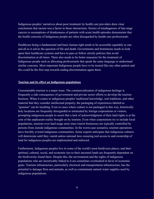Indigenous peoples' narratives about poor treatment by health care providers draw clear conclusions that racism was a factor in those interactions. Stories of misdiagnoses of late-stage cancers to assumptions of drunkenness of patients with acute health episodes demonstrate that the health concerns of Indigenous people are often disregarded by health care professionals.

Healthcare being a fundamental and basic human right needs to be accessible equitably to one and all as it solves the question of life and death. Governments and Institutions needs to look upon their healthcare systems and have to pass or follow strictly policies that avoid discrimination at all times. There also needs to be better measures for the treatment of Indigenous people such as allocating professionals that speak the same language or understand similar concerns. Most important Indigenous people have to be treated like any other patient and this could be the first step towards ending discrimination again them.

#### **Tourism and its effect on Indigenous populations**

Unsustainable tourism is a major issue. The commercialization of indigenous heritage is frequently a side consequence of government and private sector efforts to develop the tourism business. When it comes to indigenous peoples' traditional knowledge, oral traditions, and other material that they consider intellectual property, the packaging of experiences labeled as "genuine" can be insulting. Even in cases where culture is not packaged in this way, historically holy locations are frequently disregarded or mistreated by foreign corporations or visitors, prompting indigenous people to assert that a lack of acknowledgment of their land rights is at the core of the unpleasant reality brought on by tourism. Even when corporations try to include local populations, tensions over land usage arise since tourist businesses are typically controlled by persons from outside indigenous communities. In the worst-case scenarios, tourism operations have forcibly evicted indigenous communities. Some experts anticipate that indigenous cultures will deteriorate until they vanish unless national laws ensuring real access to and ownership of land for indigenous peoples are implemented and enforced.

Furthermore, Indigenous peoples live in some of the world's most biodiverse places, and their spiritual, cultural, social, and economic ties to their ancestral lands are frequently dependent on the biodiversity found there. Despite this, the environment and the rights of indigenous populations who are inextricably linked to it are sometimes overlooked in favor of economic gains. Tourism infrastructure, particularly electrical and transportation infrastructure, has the potential to damage flora and animals, as well as contaminate natural water supplies used by indigenous populations.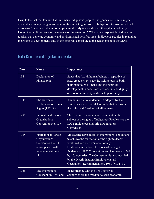Despite the fact that tourism has hurt many indigenous peoples, indigenous tourism is in great demand, and many indigenous communities seek to gain from it. Indigenous tourism is defined as tourism "in which indigenous peoples are directly involved either through control or by having their culture serve as the essence of the attraction." When done responsibly, indigenous tourism can generate economic and environmental benefits, assist indigenous peoples in realizing their right to development, and, in the long run, contribute to the achievement of the SDGs.

| <b>Date</b> | <b>Name</b>                                                                                                         | Importance                                                                                                                                                                                                                                                                                                                                                                                      |
|-------------|---------------------------------------------------------------------------------------------------------------------|-------------------------------------------------------------------------------------------------------------------------------------------------------------------------------------------------------------------------------------------------------------------------------------------------------------------------------------------------------------------------------------------------|
| 1944        | Declaration of<br>Philadelphia                                                                                      | States that " all human beings, irrespective of<br>race, creed or sex, have the right to pursue both<br>their material well-being and their spiritual<br>development in conditions of freedom and dignity,<br>of economic security and equal opportunity "                                                                                                                                      |
| 1948        | The Universal<br>Declaration of Human<br><b>Rights (UDHR)</b>                                                       | It is an international document adopted by the<br>United Nations General Assembly that enshrines<br>the rights and freedoms of all humans.                                                                                                                                                                                                                                                      |
| 1957        | <b>International Labour</b><br>Organizations<br>Convention No. 107                                                  | The first international legal document on the<br>subject of the rights of Indigenous Peoples was the<br>ILO's Indigenous and Tribal Populations<br>Convention.                                                                                                                                                                                                                                  |
| 1958        | <b>International Labour</b><br>Organizations<br>Convention No. 111<br>accompanied with<br>recommendation No.<br>111 | Most States have accepted international obligations<br>to achieve the realisation of the right to decent<br>work, without discrimination of any<br>kind. Convention No. 111 is one of the eight<br>fundamental ILO Conventions and has been ratified<br>by 165 countries. The Convention is accompanied<br>by the Discrimination (Employment and<br>Occupation) Recommendation, 1958 (No. 111). |
| 1966        | The International<br>Covenant on Civil and                                                                          | In accordance with the UN Charter, it<br>acknowledges the freedom to seek economic,                                                                                                                                                                                                                                                                                                             |

# Major Countries and Organizations Involved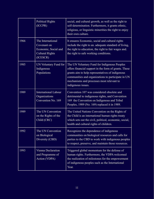|      | <b>Political Rights</b><br>(ICCPR)                                                             | social, and cultural growth, as well as the right to<br>self-determination. Furthermore, it grants ethnic,<br>religious, or linguistic minorities the right to enjoy<br>their own culture.                                                                                         |
|------|------------------------------------------------------------------------------------------------|------------------------------------------------------------------------------------------------------------------------------------------------------------------------------------------------------------------------------------------------------------------------------------|
| 1966 | The International<br>Covenant on<br>Economic, Social and<br><b>Cultural Rights</b><br>(ICESCR) | It ensures Economic, social and cultural rights<br>include the right to an. adequate standard of living,<br>the right to education, the right to fair wages and.<br>the right to safe working conditions.                                                                          |
| 1985 | UN Voluntary Fund for<br>Indigenous<br>Populations                                             | The UN Voluntary Fund for Indigenous Peoples<br>offers financial support in the form of grants. These<br>grants aim to help representatives of indigenous<br>communities and organizations to participate in UN<br>mechanisms and processes most relevant to<br>indigenous issues. |
| 1989 | <b>International Labour</b><br>Organizations<br>Convention No. 169                             | Convention 107 was considered obsolete and<br>detrimental to indigenous rights, and Convention<br>169 the Convention on Indigenous and Tribal<br>Peoples, 1989 (No. 169) replaced it in 1989.                                                                                      |
| 1989 | The UN Convention<br>on the Rights of the<br>Child (CRC)                                       | The United Nations Convention on the Rights of<br>the Child is an international human rights treaty<br>which sets out the civil, political, economic, social,<br>health and cultural rights of children.                                                                           |
| 1992 | The UN Convention<br>on Biological<br>Diversity (CBD)                                          | Recognizes the dependence of indigenous<br>communities on biological resources and calls for<br>parties to the CBD to work with indigenous peoples<br>to respect, preserve, and maintain those resources.                                                                          |
| 1993 | Vienna Declaration<br>and Programme of<br>Action (VDPA)                                        | Triggered global momentum for the defense of<br>human rights. Furthermore, the VDPA welcomed<br>the realization of milestones for the empowerment<br>of indigenous peoples such as the International<br>Year.                                                                      |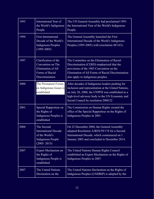| 1993  | International Year of<br>the World's Indigenous<br>People                                                  | The UN General Assembly had proclaimed 1993<br>the International Year of the World's Indigenous<br>People.                                                                                                                                             |
|-------|------------------------------------------------------------------------------------------------------------|--------------------------------------------------------------------------------------------------------------------------------------------------------------------------------------------------------------------------------------------------------|
| 1994  | <b>First International</b><br>Decade of the World's<br><b>Indigenous Peoples</b><br>$(1995 - 2005)$        | The General Assembly launched the First<br>International Decade of the World's Indigenous<br>Peoples (1995-2005) with (resolution 48/163).                                                                                                             |
| 1997  | Clarification of the<br>Convention on The<br>Elimination of All<br>Forms of Racial<br>Discriminiation      | The Committee on the Elimination of Racial<br>Discrimination (CERD) emphasized that the<br>provisions of the 1965 Convention on the<br>Elimination of All Forms of Racial Discrimination<br>also apply to indigenous peoples,                          |
| 2000  | The Permanent Forum<br>on Indigenous Issues is<br>established                                              | After decades of Indigenous leaders pushing for<br>inclusion and representation at the United Nations,<br>on July 28, 2000, the UNPFII was established as a<br>high-level advisory body to the UN Economic and<br>Social Council by resolution 2000/22 |
| 2001. | Special Rapporteur on<br>the Rights of<br>Indigenous Peoples is<br>established                             | The Commission on Human Rights created the<br>office of the Special Rapporteur on the Rights of<br>Indigenous Peoples in 2001.                                                                                                                         |
| 2004  | The Second<br><b>International Decade</b><br>of the World's<br><b>Indigenous People</b><br>$(2005 - 2015)$ | On 22 December 2004, the General Assembly<br>adopted Resolution A/RES/59/174 for a Second<br>International Decade, which commenced on 1<br>January 2005 and concluded in December 2014.                                                                |
| 2007  | Expert Mechanism on<br>the Rights of<br>Indigenous People is<br>established                                | The United Nations Human Rights Council<br>established an Expert Mechanism on the Rights of<br>Indigenous Peoples in 2007.                                                                                                                             |
| 2007  | The United Nations<br>Declaration on the                                                                   | The United Nations Declaration on the Rights of<br>Indigenous Peoples (UNDRIP) is adopted by the                                                                                                                                                       |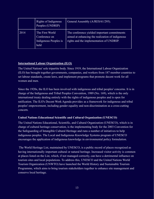|      | Rights of Indigenous<br>Peoples (UNDRIP)                          | General Assembly (A/RES/61/295).                                                                                                             |
|------|-------------------------------------------------------------------|----------------------------------------------------------------------------------------------------------------------------------------------|
| 2014 | The First World<br>Conference on<br>Indigenous Peoples is<br>held | The conference yielded important commitments<br>aimed at enhancing the realization of indigenous<br>rights and the implementation of UNDRIP. |

#### **International Labour Organization (ILO)**

The United Nations' sole tripartite body. Since 1919, the International Labour Organization (ILO) has brought together governments, companies, and workers from 187 member countries to set labour standards, create laws, and implement programs that promote decent work for all women and men.

Since the 1920s, the ILO has been involved with indigenous and tribal peoples' concerns. It is in charge of the Indigenous and Tribal Peoples Convention, 1989 (No. 169), which is the only international treaty dealing entirely with the rights of indigenous peoples and is open for ratification. The ILO's Decent Work Agenda provides as a framework for indigenous and tribal peoples' empowerment, including gender equality and non-discrimination as a cross-cutting concern.

#### **United Nations Educational Scientific and Cultural Organization (UNESCO)**

The United Nations Educational, Scientific, and Cultural Organization (UNESCO), which is in charge of cultural heritage conservation, is the implementing body for the 2003 Convention for the Safeguarding of Intangible Cultural Heritage and runs a number of initiatives to help indigenous peoples. The Local and Indigenous Knowledge Systems program of UNESCO encourages the application of indigenous knowledge in environmental policy formulation.

The World Heritage List, maintained by UNESCO, is a public record of places recognized as having internationally important cultural or natural heritage. Increased visitor activity is common at places listed on the List, which, if not managed correctly, can have a detrimental influence on tourism sites and local populations. To address this, UNESCO and the United Nations World Tourism Organization (UNWTO) have launched the World History and Sustainable Tourism Programme, which aims to bring tourism stakeholders together to enhance site management and conserve local heritage.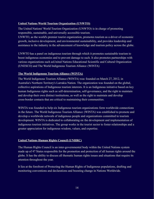#### **United Nations World Tourism Organization (UNWTO)**

The United Nations' World Tourism Organization (UNWTO) is in charge of promoting responsible, sustainable, and universally accessible tourism.

UNWTO, as the world's premier tourist organization, promotes tourism as a driver of economic growth, inclusive development, and environmental sustainability, and provides leadership and assistance to the industry in the advancement of knowledge and tourism policy across the globe.

UNWTO has a panel on indigenous tourism through which it promotes sustainable tourism to boost indigenous economies and to prevent damage to such. It also promotes partnerships with various organizations such asUnited Nations Educational Scientific and Cultural Organization (UNESCO) and The World Indigenous Tourism Alliance (WINTA)

#### **The World Indigenous Tourism Alliance (WINTA)**

The World Indigenous Tourism Alliance (WINTA) was founded on March 27, 2012, in Australia's Northern Territory's Larrakia Nation. The organization was founded on the global, collective aspirations of Indigenous tourism interests. It is an Indigenous initiative based on key human Indigenous rights such as self-determination, self-governance, and the right to maintain and develop their own distinct institutions, as well as the right to maintain and develop cross-border contacts that are critical to maintaining their communities.

WINTA was founded to help six Indigenous tourism organizations form worldwide connections in the future. The World Indigenous Tourism Alliance (WINTA) was established to promote and develop a worldwide network of indigenous people and organizations committed to tourism development. WINTA is dedicated to collaborating on the development and implementation of indigenous tourism initiatives. The group works in the tourist sector to foster relationships and a greater appreciation for indigenous wisdom, values, and expertise.

#### **United Nations Human Rights Council (UNHRC)**

The Human Rights Council is an inter-governmental body within the United Nations system made up of 47 States responsible for the promotion and protection of all human rights around the globe. It has the ability to discuss all thematic human rights issues and situations that require its attention throughout the year.

It lies at the forefront of Protecting the Human Rights of Indigenous populations, drafting and monitoring conventions and declarations and boosting change in Nations Worldwide.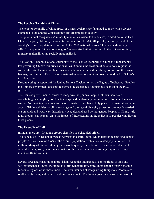#### **The People's Republic of China**

The People's Republic of China (PRC or China) declares itself a united country with a diverse ethnic make-up, and the Constitution treats all ethnicities equally.

The government recognizes 55 minority ethnicities inside its boundaries, in addition to the Han Chinese majority. Minority nationalities account for 111,964,901 people, or 8.49 percent of the country's overall population, according to the 2010 national census. There are additionally 640,101 people in China who belong to "unrecognized ethnic groups." In the Chinese setting, minority nationalities are socially marginalized.

The Law on Regional National Autonomy of the People's Republic of China is a fundamental law governing China's minority nationalities. It entails the creation of autonomous regions, as well as the establishment of their own local administration and the ability to exercise their own language and culture. These regional national autonomous regions cover around 64% of China's total land area.

Despite voting in support of the United Nations Declaration on the Rights of Indigenous Peoples, the Chinese government does not recognize the existence of Indigenous Peoples in the PRC (UNDRIP).

The Chinese government's refusal to recognize Indigenous Peoples inhibits them from contributing meaningfully to climate change and biodiversity conservation efforts in China, as well as from voicing their concerns about threats to their lands, holy places, and natural resource access. While activities on climate change and biological diversity protection are mostly carried out on lands and waterways historically occupied and used by Indigenous Peoples in China, little to no thought has been given to the impact of these actions on the Indigenous Peoples who live in these places.

#### **The Republic of India**

In India, there are 705 ethnic groups classified as Scheduled Tribes.

The Scheduled Tribes are known as Adivasis in central India, which literally means "indigenous peoples." They make up 8.6% of the overall population, with an estimated population of 104 million. Many additional ethnic groups would qualify for Scheduled Tribe status but are not officially recognized, therefore estimates of the overall number of tribal groupings are higher than the official amount.

Several laws and constitutional provisions recognize Indigenous Peoples' rights to land and self-governance in India, including the Fifth Schedule for central India and the Sixth Schedule for some regions of northeast India. The laws intended at safeguarding Indigenous Peoples are riddled with flaws, and their execution is inadequate. The Indian government voted in favor of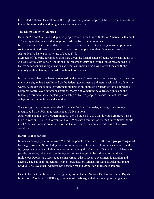the United Nations Declaration on the Rights of Indigenous Peoples (UNDRIP) on the condition that all Indians be deemed indigenous since independence.

#### **The United States of America**

Between 2.5 and 6 million Indigenous people reside in the United States of America, with about 20% living in American Indian regions or Alaska Native communities.

Native groups in the United States are more frequently referred to as Indigenous Peoples. While socioeconomic indicators vary greatly by location, people who identify as American Indian or Alaska Native have a poverty rate of about 27%.

Members of federally recognized tribes are given the formal status of being American Indian or Alaska Native, with certain limitations. In December 2019, the United States recognized 574 Native American tribal organizations as American Indian or Alaska Native tribes, with the majority of them having established national homelands.

Native nations that have been recognized by the federal government are sovereign by nature, but their sovereignty has been limited by the federal government's unilateral designation of them as wards. Although the federal government requires tribal input on a variety of topics, it retains complete control over Indigenous nations. Many Native nations have treaty rights, and the federal government has accepted guardianship of Native peoples, despite the fact that those obligations are sometimes underfunded.

State-recognized and non-recognized American Indian tribes exist, although they are not recognized by the federal government as Native nations.

After voting against the UNDRIP in 2007, the US stated in 2010 that it would embrace it as a moral direction. The ILO Convention No. 169 has not been ratified by the United States. While most American Indians are citizens of the United States, they are also citizens of their own countries.

#### **Republic of Indonesia**

Indonesia has a population of over 250 million people. There are 1,128 ethnic groups recognized by the government. Some Indigenous communities are classified as komunitas adat terpencil (geographically isolated Indigenous communities) by the Ministry of Social Affairs. Many more people, however, self-identify as Indigenous or are thought to be Indigenous by others. Indigenous Peoples are referred to as masyarakat adat in recent government legislation and decrees. The national Indigenous Peoples' organization, Aliansi Masyarakat Adat Nusantara (AMAN), believes that Indonesia has between 50 and 70 million Indigenous Peoples.

Despite the fact that Indonesia is a signatory to the United Nations Declaration on the Rights of Indigenous Peoples (UNDRIP), government officials argue that the concept of Indigenous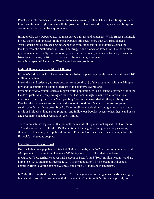Peoples is irrelevant because almost all Indonesians (except ethnic Chinese) are Indigenous and thus have the same rights. As a result, the government has turned down requests from Indigenous communities for particular requirements.

In Indonesia, West Papua boasts the most varied cultures and languages. While Bahasa Indonesia is now the official language, Indigenous Papuans still speak more than 250 tribal dialects. West Papuans have been seeking independence from Indonesia since Indonesia seized the territory from the Netherlands in 1969. The struggle and bloodshed lasted until the Indonesian government enacted a Special Autonomy Law for the province, which was formerly known as Irian Jaya to Papua, in 2001, after which the Indonesian government forcefully separated Papua and West Papua into two provinces.

#### **Federal Democratic Republic of Ethiopia**

Ethiopia's Indigenous Peoples account for a substantial percentage of the country's estimated 105 million inhabitants.

Pastoralists and sedentary farmers account for around 15% of the population, with the Ethiopian lowlands accounting for about 61 percent of the country's overall area.

Ethiopia is said to contain Africa's biggest cattle population, with a substantial portion of it in the hands of pastoralist groups living on land that has been in high demand from international investors in recent years. Such "land grabbing" has further exacerbated Ethiopia's Indigenous Peoples' already precarious political and economic condition. Many pastoralist groups and small-scale farmers have been forced off their traditional agricultural and grazing grounds as a result of Ethiopia's villagisation program, and Indigenous Peoples' access to healthcare and basic and secondary education remains severely limited.

There is no national legislation that protects them, and Ethiopia has not signed ILO Convention 169 and was not present for the UN Declaration of the Rights of Indigenous Peoples voting (UNDRIP). In recent years, political unrest in Ethiopia has exacerbated the challenges faced by Ethiopia's indigenous peoples.

#### Federative Republic of Brazil

Brazil's Indigenous population totals 896,900 individuals, with 36.2 percent living in cities and 63.8 percent in rural regions. There are 505 Indigenous Lands (TIs) that have been recognized.These territories cover 12.5 percent of Brazil's land (106.7 million hectares) and are home to 517,400 Indigenous people (57.7% of the population). 37.4 percent of Indigenous people in Brazil over the age of five speak one of the 274 indigenous languages.

In 2002, Brazil ratified ILO Convention 169. The legalization of Indigenous Lands is a lengthy bureaucratic procedure that ends with the President of the Republic's ultimate approval; each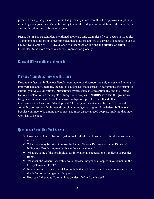president during the previous 25 years has given anywhere from 0 to 145 approvals, implicitly reflecting each government's public policy toward the Indigenous population. Unfortunately, the current President Jair Bolsonaro has given 0.

**Please Note:** The stakeholders mentioned above are only examples of what occurs in the topic. To implement solutions it is recommended that solutions applied to a group of countries (Such as LEDCs/Developing MEDCS/Developed or even based on regions and criterias of certain thresholds) to be more effective and well represented globally.

# Relevant UN Resolutions and Reports

# Previous Attempts at Resolving This Issue

Despite the fact that Indigenous Peoples continue to be disproportionately represented among the impoverished and vulnerable, the United Nations has made strides in recognizing their rights as culturally unique civilizations. International treaties such as Convention 169 and the United Nations Declaration on the Rights of Indigenous Peoples (UNDRIP) have laid the groundwork for greater international efforts to empower indigenous peoples via full and effective involvement in all sectors of development. This progress is evidenced by the UN General Assembly convening a high-level discussion on indigenous rights. Nonetheless, Indigenous Peoples continue to be among the poorest and most disadvantaged peoples, implying that much work has to be done.

# Questions a Resolution Must Answer

- ❖ How can the United Nations system make all of its actions more culturally sensitive and inclusive?
- ❖ What steps may be taken to make the United Nations Declaration on the Rights of Indigenous Peoples more effective at the national level?
- ❖ What are some of the possibilities for international cooperation on Indigenous Peoples' rights?
- ❖ What can the General Assembly do to increase Indigenous Peoples' involvement in the UN system at all levels?
- ❖ In what ways can the General Assembly better define or come to a common resolve on the definition of Indigenous Peoples?
- ❖ How can Indigenous Communities be identified and distincted?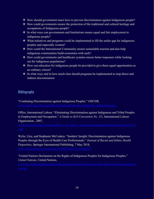- ❖ How should government enact laws to prevent discrimination against Indigenous people?
- ❖ How could governments ensure the protection of the traditional and cultural heritage and occupations of Indigenous people?
- ❖ In what ways can governments and Institutions ensure equal and fair employment to indigenous people?
- ❖ What initiatives and programs could be implemented to fill the unfair gap for indigenous peoples and especially women?
- ❖ How could the International Community ensure sustainable tourism and also help indigenous communities build economies with such?
- ❖ How could governments and healthcare systems ensure better responses while looking out for indigenous populations?
- ❖ How can education for indigenous people be provided to give them equal opportunities as an ordinary citizen?
- ❖ In what ways and in how much time should programs be implemented to stop direct and indirect discrimination

# **Bibliography**

"Combating Discrimination against Indigenous Peoples." *OHCHR*,

Office, International Labour. "Eliminating Discrimination against Indigenous and Tribal Peoples in Employment and Occupation." *A Guide to ILO Convention No. 111*, International Labour Organization , 2007,

Wylie, Lloy, and Stephanie McConkey. "Insiders' Insight: Discrimination against Indigenous Peoples through the Eyes of Health Care Professionals." *Journal of Racial and Ethnic Health Disparities*, Springer International Publishing, 7 May 2018,

"United Nations Declaration on the Rights of Indigenous Peoples for Indigenous Peoples." *United Nations*, United Nations,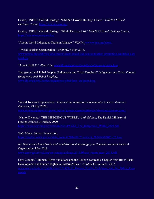Centre, UNESCO World Heritage. "UNESCO World Heritage Centre." *UNESCO World Heritage Centre*, [https://whc.unesco.org/.](https://whc.unesco.org/)

Centre, UNESCO World Heritage. "World Heritage List." *UNESCO World Heritage Centre*,

"About: World Indigenous Tourism Alliance." *WINTA*, [www.winta.org/about](http://www.winta.org/about).

"World Tourism Organization." *UNWTO*, 6 May 2016,

"About the ILO." *About The*, [www.ilo.org/global/about-the-ilo/lang--en/index.htm](http://www.ilo.org/global/about-the-ilo/lang--en/index.htm).

#### "Indigenous and Tribal Peoples (Indigenous and Tribal Peoples)." *Indigenous and Tribal Peoples (Indigenous and Tribal Peoples)*,

"World Tourism Organization." *Empowering Indigenous Communities to Drive Tourism's Recovery*, 29 July 2021,

#### Mamo, Dwayne. "THE INDIGENOUS WORLD." *34th Edition*, The Danish Ministry of Foreign Affairs (DANIDA, 2020,

*State Ethnic Affairs Commission*,

### *It's Time to End Land Grabs and Establish Food Sovereignty in Gambela*, Anywaa Survival Organisation, May 2018,

Carr, Claudia. " Human Rights Violations and the Policy Crossroads. Chapter from River Basin Development and Human Rights in Eastern Africa." *A Policy Crossroads* , 2017,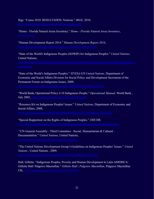# Ibge. "Censo 2010: RESULTADOS: Notícias." *IBGE*, 2010,

"Home - Florida Natural Areas Inventory." *Home - Florida Natural Areas Inventory*,

"Human Development Report 2014." *Human Development Report 2014*,

"State of the World's Indigenous Peoples (SOWIP) for Indigenous Peoples." *United Nations*, United Nations,

"State of the World's Indigenous Peoples." *ST/ESA/328 United Nations*, Department of Economic and Social Affairs Division for Social Policy and Development Secretariat of the Permanent Forum on Indigenous Issues, 2009,

"World Bank, Operational Policy 4.10 Indigenous People." *Operational Manual*, World Bank , July 2005, [https://ppfdocuments.azureedge.net/1570.pdf.](https://ppfdocuments.azureedge.net/1570.pdf)

"Resource Kit on Indigenous Peoples' Issues." *United Nations*, Department of Economic and Social Affairs, 2008,

"Special Rapporteur on the Rights of Indigenous Peoples." *OHCHR*,

"UN General Assembly - Third Committee - Social, Humanitarian & Cultural - Documentation." *United Nations*, United Nations,

"The United Nations Development Group's Guidelines on Indigenous Peoples' Issues." *United*

*Nations* , United Nations , 2009,

Hall, Gillette. "Indigenous Peoples, Poverty and Human Development in Latin AMERICA: Gillette Hall: Palgrave Macmillan." *Gillette Hall | Palgrave Macmillan*, Palgrave Macmillan UK, [www.palgrave.com/gp/book/9781403999382.](http://www.palgrave.com/gp/book/9781403999382)